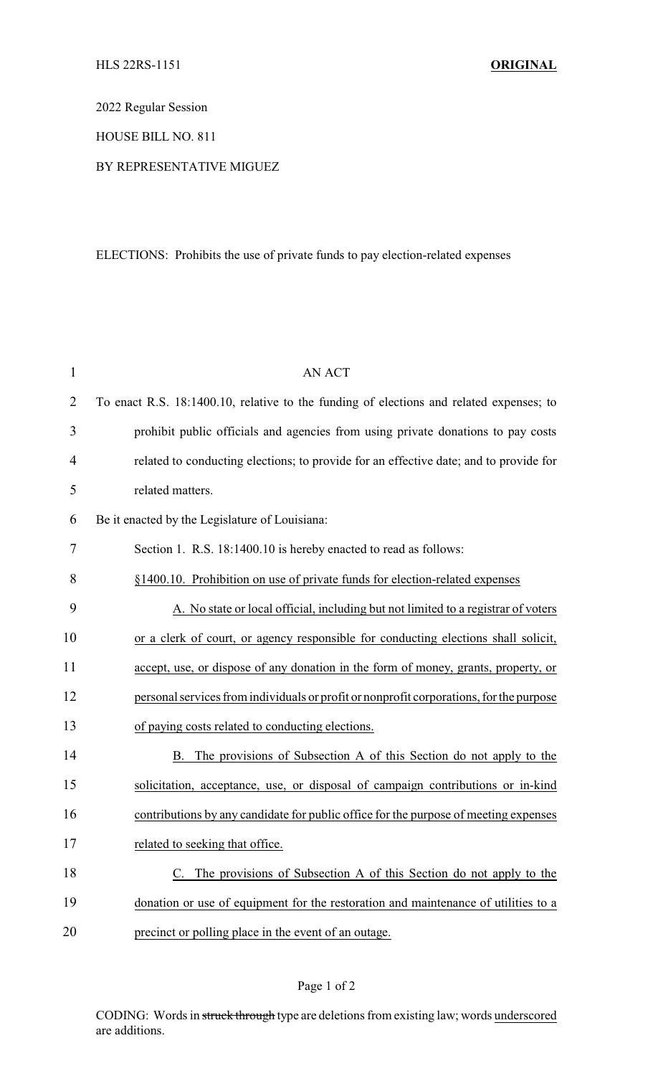2022 Regular Session

HOUSE BILL NO. 811

## BY REPRESENTATIVE MIGUEZ

## ELECTIONS: Prohibits the use of private funds to pay election-related expenses

| $\mathbf{1}$   | <b>AN ACT</b>                                                                           |
|----------------|-----------------------------------------------------------------------------------------|
| $\overline{2}$ | To enact R.S. 18:1400.10, relative to the funding of elections and related expenses; to |
| 3              | prohibit public officials and agencies from using private donations to pay costs        |
| 4              | related to conducting elections; to provide for an effective date; and to provide for   |
| 5              | related matters.                                                                        |
| 6              | Be it enacted by the Legislature of Louisiana:                                          |
| 7              | Section 1. R.S. 18:1400.10 is hereby enacted to read as follows:                        |
| 8              | §1400.10. Prohibition on use of private funds for election-related expenses             |
| 9              | A. No state or local official, including but not limited to a registrar of voters       |
| 10             | or a clerk of court, or agency responsible for conducting elections shall solicit,      |
| 11             | accept, use, or dispose of any donation in the form of money, grants, property, or      |
| 12             | personal services from individuals or profit or nonprofit corporations, for the purpose |
| 13             | of paying costs related to conducting elections.                                        |
| 14             | The provisions of Subsection A of this Section do not apply to the<br>B.                |
| 15             | solicitation, acceptance, use, or disposal of campaign contributions or in-kind         |
| 16             | contributions by any candidate for public office for the purpose of meeting expenses    |
| 17             | related to seeking that office.                                                         |
| 18             | C. The provisions of Subsection A of this Section do not apply to the                   |
| 19             | donation or use of equipment for the restoration and maintenance of utilities to a      |
| 20             | precinct or polling place in the event of an outage.                                    |

## Page 1 of 2

CODING: Words in struck through type are deletions from existing law; words underscored are additions.